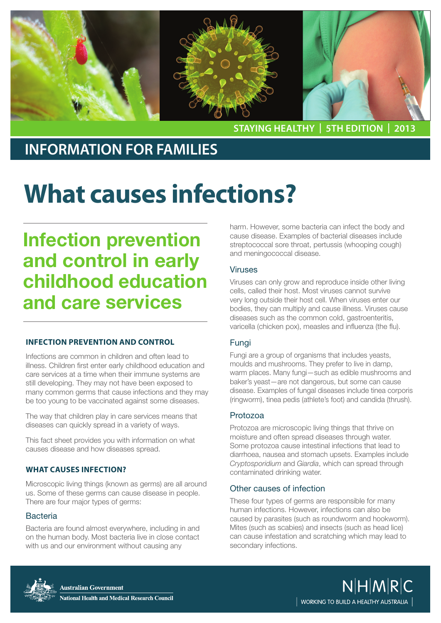

**staying healthy | 5th edition | 2013**

### **INFORMATION FOR FAMILIES**

# **What causes infections?**

## Infection prevention and control in early childhood education and care services

#### **Infection prevention and control**

Infections are common in children and often lead to illness. Children first enter early childhood education and care services at a time when their immune systems are still developing. They may not have been exposed to many common germs that cause infections and they may be too young to be vaccinated against some diseases.

The way that children play in care services means that diseases can quickly spread in a variety of ways.

This fact sheet provides you with information on what causes disease and how diseases spread.

#### **what causes infection?**

Microscopic living things (known as germs) are all around us. Some of these germs can cause disease in people. There are four major types of germs:

#### **Bacteria**

Bacteria are found almost everywhere, including in and on the human body. Most bacteria live in close contact with us and our environment without causing any

harm. However, some bacteria can infect the body and cause disease. Examples of bacterial diseases include streptococcal sore throat, pertussis (whooping cough) and meningococcal disease.

#### Viruses

Viruses can only grow and reproduce inside other living cells, called their host. Most viruses cannot survive very long outside their host cell. When viruses enter our bodies, they can multiply and cause illness. Viruses cause diseases such as the common cold, gastroenteritis, varicella (chicken pox), measles and influenza (the flu).

#### Fungi

Fungi are a group of organisms that includes yeasts, moulds and mushrooms. They prefer to live in damp, warm places. Many fungi—such as edible mushrooms and baker's yeast—are not dangerous, but some can cause disease. Examples of fungal diseases include tinea corporis (ringworm), tinea pedis (athlete's foot) and candida (thrush).

#### Protozoa

Protozoa are microscopic living things that thrive on moisture and often spread diseases through water. Some protozoa cause intestinal infections that lead to diarrhoea, nausea and stomach upsets. Examples include *Cryptosporidium* and *Giardia*, which can spread through contaminated drinking water.

#### Other causes of infection

These four types of germs are responsible for many human infections. However, infections can also be caused by parasites (such as roundworm and hookworm). Mites (such as scabies) and insects (such as head lice) can cause infestation and scratching which may lead to secondary infections.